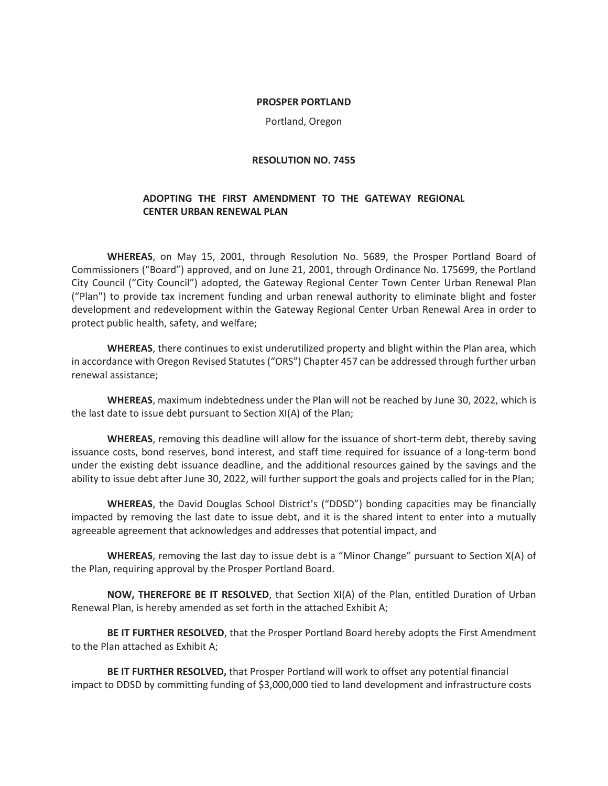#### **PROSPER PORTLAND**

Portland, Oregon

### **RESOLUTION NO. 7455**

# **ADOPTING THE FIRST AMENDMENT TO THE GATEWAY REGIONAL CENTER URBAN RENEWAL PLAN**

**WHEREAS**, on May 15, 2001, through Resolution No. 5689, the Prosper Portland Board of Commissioners ("Board") approved, and on June 21, 2001, through Ordinance No. 175699, the Portland City Council ("City Council") adopted, the Gateway Regional Center Town Center Urban Renewal Plan ("Plan") to provide tax increment funding and urban renewal authority to eliminate blight and foster development and redevelopment within the Gateway Regional Center Urban Renewal Area in order to protect public health, safety, and welfare;

**WHEREAS**, there continues to exist underutilized property and blight within the Plan area, which in accordance with Oregon Revised Statutes ("ORS") Chapter 457 can be addressed through further urban renewal assistance;

**WHEREAS**, maximum indebtedness under the Plan will not be reached by June 30, 2022, which is the last date to issue debt pursuant to Section XI(A) of the Plan;

**WHEREAS**, removing this deadline will allow for the issuance of short-term debt, thereby saving issuance costs, bond reserves, bond interest, and staff time required for issuance of a long-term bond under the existing debt issuance deadline, and the additional resources gained by the savings and the ability to issue debt after June 30, 2022, will further support the goals and projects called for in the Plan;

**WHEREAS**, the David Douglas School District's ("DDSD") bonding capacities may be financially impacted by removing the last date to issue debt, and it is the shared intent to enter into a mutually agreeable agreement that acknowledges and addresses that potential impact, and

**WHEREAS**, removing the last day to issue debt is a "Minor Change" pursuant to Section X(A) of the Plan, requiring approval by the Prosper Portland Board.

**NOW, THEREFORE BE IT RESOLVED**, that Section XI(A) of the Plan, entitled Duration of Urban Renewal Plan, is hereby amended as set forth in the attached Exhibit A;

**BE IT FURTHER RESOLVED**, that the Prosper Portland Board hereby adopts the First Amendment to the Plan attached as Exhibit A;

**BE IT FURTHER RESOLVED,** that Prosper Portland will work to offset any potential financial impact to DDSD by committing funding of \$3,000,000 tied to land development and infrastructure costs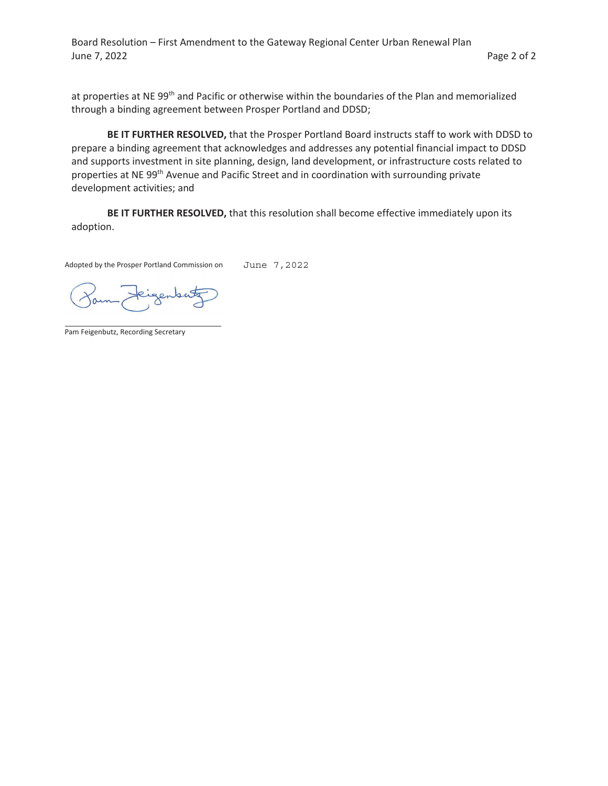Board Resolution – First Amendment to the Gateway Regional Center Urban Renewal Plan June 7, 2022 **Page 2 of 2** 

at properties at NE 99<sup>th</sup> and Pacific or otherwise within the boundaries of the Plan and memorialized through a binding agreement between Prosper Portland and DDSD;

**BE IT FURTHER RESOLVED,** that the Prosper Portland Board instructs staff to work with DDSD to prepare a binding agreement that acknowledges and addresses any potential financial impact to DDSD and supports investment in site planning, design, land development, or infrastructure costs related to properties at NE 99<sup>th</sup> Avenue and Pacific Street and in coordination with surrounding private development activities; and

**BE IT FURTHER RESOLVED,** that this resolution shall become effective immediately upon its adoption.

Adopted by the Prosper Portland Commission on June 7,2022

genber

Pam Feigenbutz, Recording Secretary

 $\overline{a}$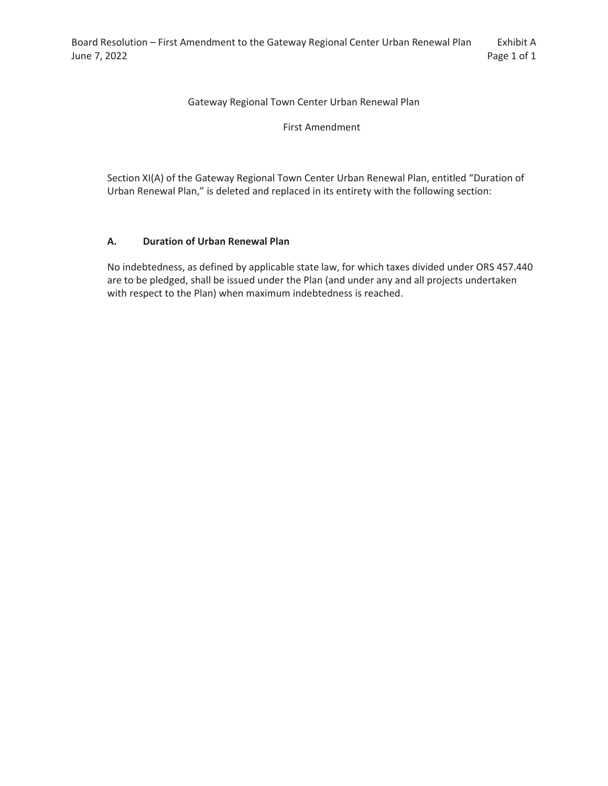# Gateway Regional Town Center Urban Renewal Plan

First Amendment

Section XI(A) of the Gateway Regional Town Center Urban Renewal Plan, entitled "Duration of Urban Renewal Plan," is deleted and replaced in its entirety with the following section:

# **A. Duration of Urban Renewal Plan**

No indebtedness, as defined by applicable state law, for which taxes divided under ORS 457.440 are to be pledged, shall be issued under the Plan (and under any and all projects undertaken with respect to the Plan) when maximum indebtedness is reached.